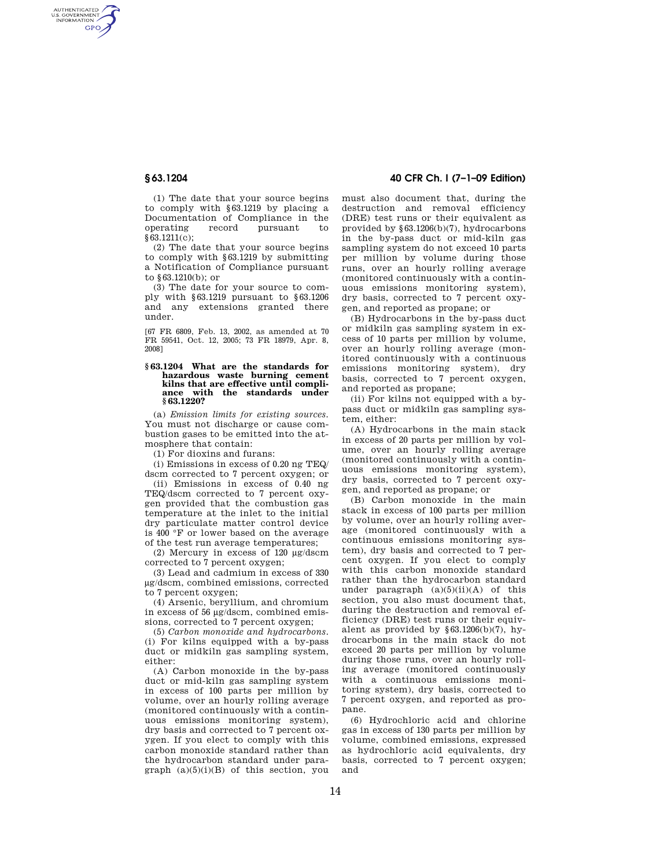AUTHENTICATED<br>U.S. GOVERNMENT<br>INFORMATION **GPO** 

> (1) The date that your source begins to comply with §63.1219 by placing a Documentation of Compliance in the<br>operating record pursuant to operating record pursuant to §63.1211(c);

(2) The date that your source begins to comply with §63.1219 by submitting a Notification of Compliance pursuant to §63.1210(b); or

(3) The date for your source to comply with §63.1219 pursuant to §63.1206 and any extensions granted there under.

[67 FR 6809, Feb. 13, 2002, as amended at 70 FR 59541, Oct. 12, 2005; 73 FR 18979, Apr. 8, 2008]

#### **§ 63.1204 What are the standards for hazardous waste burning cement kilns that are effective until compliance with the standards under § 63.1220?**

(a) *Emission limits for existing sources.*  You must not discharge or cause combustion gases to be emitted into the atmosphere that contain:

(1) For dioxins and furans:

(i) Emissions in excess of 0.20 ng TEQ/ dscm corrected to 7 percent oxygen; or

(ii) Emissions in excess of 0.40 ng TEQ/dscm corrected to 7 percent oxygen provided that the combustion gas temperature at the inlet to the initial dry particulate matter control device is 400 °F or lower based on the average of the test run average temperatures;

(2) Mercury in excess of 120 μg/dscm corrected to 7 percent oxygen;

(3) Lead and cadmium in excess of 330 μg/dscm, combined emissions, corrected to 7 percent oxygen;

(4) Arsenic, beryllium, and chromium in excess of 56 μg/dscm, combined emissions, corrected to 7 percent oxygen;

(5) *Carbon monoxide and hydrocarbons.*  (i) For kilns equipped with a by-pass duct or midkiln gas sampling system, either:

(A) Carbon monoxide in the by-pass duct or mid-kiln gas sampling system in excess of 100 parts per million by volume, over an hourly rolling average (monitored continuously with a continuous emissions monitoring system), dry basis and corrected to 7 percent oxygen. If you elect to comply with this carbon monoxide standard rather than the hydrocarbon standard under paragraph  $(a)(5)(i)(B)$  of this section, you

# **§ 63.1204 40 CFR Ch. I (7–1–09 Edition)**

must also document that, during the destruction and removal efficiency (DRE) test runs or their equivalent as provided by §63.1206(b)(7), hydrocarbons in the by-pass duct or mid-kiln gas sampling system do not exceed 10 parts per million by volume during those runs, over an hourly rolling average (monitored continuously with a continuous emissions monitoring system), dry basis, corrected to 7 percent oxygen, and reported as propane; or

(B) Hydrocarbons in the by-pass duct or midkiln gas sampling system in excess of 10 parts per million by volume, over an hourly rolling average (monitored continuously with a continuous emissions monitoring system), dry basis, corrected to 7 percent oxygen, and reported as propane;

(ii) For kilns not equipped with a bypass duct or midkiln gas sampling system, either:

(A) Hydrocarbons in the main stack in excess of 20 parts per million by volume, over an hourly rolling average (monitored continuously with a continuous emissions monitoring system), dry basis, corrected to 7 percent oxygen, and reported as propane; or

(B) Carbon monoxide in the main stack in excess of 100 parts per million by volume, over an hourly rolling average (monitored continuously with a continuous emissions monitoring system), dry basis and corrected to 7 percent oxygen. If you elect to comply with this carbon monoxide standard rather than the hydrocarbon standard under paragraph  $(a)(5)(ii)(A)$  of this section, you also must document that, during the destruction and removal efficiency (DRE) test runs or their equivalent as provided by  $§63.1206(b)(7)$ , hydrocarbons in the main stack do not exceed 20 parts per million by volume during those runs, over an hourly rolling average (monitored continuously with a continuous emissions monitoring system), dry basis, corrected to 7 percent oxygen, and reported as propane.

(6) Hydrochloric acid and chlorine gas in excess of 130 parts per million by volume, combined emissions, expressed as hydrochloric acid equivalents, dry basis, corrected to 7 percent oxygen; and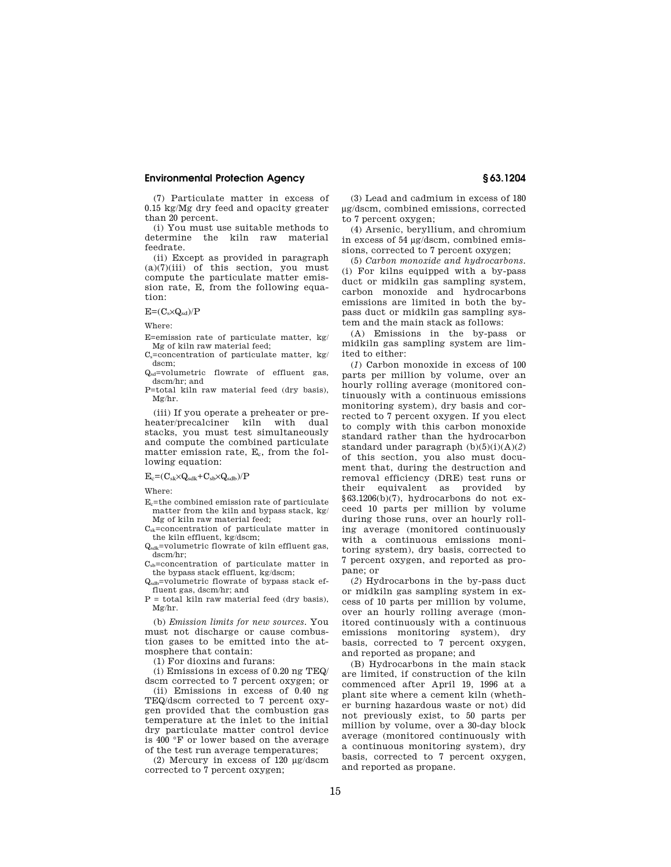## **Environmental Protection Agency § 63.1204**

(7) Particulate matter in excess of 0.15 kg/Mg dry feed and opacity greater than 20 percent.

(i) You must use suitable methods to determine the kiln raw material feedrate.

(ii) Except as provided in paragraph  $(a)(7)(iii)$  of this section, you must compute the particulate matter emission rate, E, from the following equation:

 $E=(C_s\times Q_{sd})/P$ 

Where:

E=emission rate of particulate matter, kg/ Mg of kiln raw material feed;

 $C_s$ =concentration of particulate matter, kg/ dscm;

Qsd=volumetric flowrate of effluent gas, dscm/hr; and

P=total kiln raw material feed (dry basis), Mg/hr.

(iii) If you operate a preheater or preheater/precalciner kiln with dual stacks, you must test simultaneously and compute the combined particulate matter emission rate,  $E_c$ , from the following equation:

 $E_c = (C_{sk} \times Q_{sdk} + C_{sb} \times Q_{sdb})/P$ 

Where:

Ec=the combined emission rate of particulate matter from the kiln and bypass stack, kg/ Mg of kiln raw material feed;

 $C_{sk}$ =concentration of particulate matter in the kiln effluent, kg/dscm;

Qsdk=volumetric flowrate of kiln effluent gas, dscm/hr;

 $C_{sb}$ =concentration of particulate matter in the bypass stack effluent, kg/dscm;

Qsdb=volumetric flowrate of bypass stack effluent gas, dscm/hr; and

 $P =$  total kiln raw material feed (dry basis), Mg/hr.

(b) *Emission limits for new sources.* You must not discharge or cause combustion gases to be emitted into the atmosphere that contain:

(1) For dioxins and furans:

(i) Emissions in excess of 0.20 ng TEQ/ dscm corrected to 7 percent oxygen; or

(ii) Emissions in excess of 0.40 ng TEQ/dscm corrected to 7 percent oxygen provided that the combustion gas temperature at the inlet to the initial dry particulate matter control device is 400 °F or lower based on the average of the test run average temperatures;

(2) Mercury in excess of 120 μg/dscm corrected to 7 percent oxygen;

(3) Lead and cadmium in excess of 180 μg/dscm, combined emissions, corrected to 7 percent oxygen;

(4) Arsenic, beryllium, and chromium in excess of 54 μg/dscm, combined emissions, corrected to 7 percent oxygen;

(5) *Carbon monoxide and hydrocarbons.*  (i) For kilns equipped with a by-pass duct or midkiln gas sampling system, carbon monoxide and hydrocarbons emissions are limited in both the bypass duct or midkiln gas sampling system and the main stack as follows:

(A) Emissions in the by-pass or midkiln gas sampling system are limited to either:

(*1*) Carbon monoxide in excess of 100 parts per million by volume, over an hourly rolling average (monitored continuously with a continuous emissions monitoring system), dry basis and corrected to 7 percent oxygen. If you elect to comply with this carbon monoxide standard rather than the hydrocarbon standard under paragraph (b)(5)(i)(A)(*2*) of this section, you also must document that, during the destruction and removal efficiency (DRE) test runs or their equivalent as provided by §63.1206(b)(7), hydrocarbons do not exceed 10 parts per million by volume during those runs, over an hourly rolling average (monitored continuously with a continuous emissions monitoring system), dry basis, corrected to 7 percent oxygen, and reported as propane; or

(*2*) Hydrocarbons in the by-pass duct or midkiln gas sampling system in excess of 10 parts per million by volume, over an hourly rolling average (monitored continuously with a continuous emissions monitoring system), dry basis, corrected to 7 percent oxygen, and reported as propane; and

(B) Hydrocarbons in the main stack are limited, if construction of the kiln commenced after April 19, 1996 at a plant site where a cement kiln (whether burning hazardous waste or not) did not previously exist, to 50 parts per million by volume, over a 30-day block average (monitored continuously with a continuous monitoring system), dry basis, corrected to 7 percent oxygen, and reported as propane.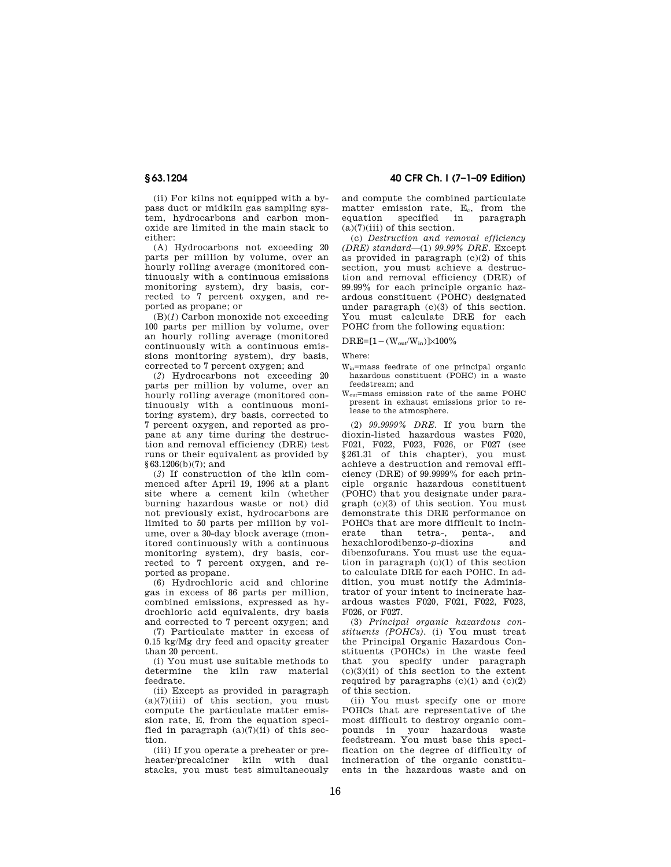**§ 63.1204 40 CFR Ch. I (7–1–09 Edition)** 

(ii) For kilns not equipped with a bypass duct or midkiln gas sampling system, hydrocarbons and carbon monoxide are limited in the main stack to either:

(A) Hydrocarbons not exceeding 20 parts per million by volume, over an hourly rolling average (monitored continuously with a continuous emissions monitoring system), dry basis, corrected to 7 percent oxygen, and reported as propane; or

(B)(*1*) Carbon monoxide not exceeding 100 parts per million by volume, over an hourly rolling average (monitored continuously with a continuous emissions monitoring system), dry basis, corrected to 7 percent oxygen; and

(*2*) Hydrocarbons not exceeding 20 parts per million by volume, over an hourly rolling average (monitored continuously with a continuous monitoring system), dry basis, corrected to 7 percent oxygen, and reported as propane at any time during the destruction and removal efficiency (DRE) test runs or their equivalent as provided by §63.1206(b)(7); and

(*3*) If construction of the kiln commenced after April 19, 1996 at a plant site where a cement kiln (whether burning hazardous waste or not) did not previously exist, hydrocarbons are limited to 50 parts per million by volume, over a 30-day block average (monitored continuously with a continuous monitoring system), dry basis, corrected to 7 percent oxygen, and reported as propane.

(6) Hydrochloric acid and chlorine gas in excess of 86 parts per million, combined emissions, expressed as hydrochloric acid equivalents, dry basis and corrected to 7 percent oxygen; and

(7) Particulate matter in excess of 0.15 kg/Mg dry feed and opacity greater than 20 percent.

(i) You must use suitable methods to determine the kiln raw material feedrate.

(ii) Except as provided in paragraph  $(a)(7)(iii)$  of this section, you must compute the particulate matter emission rate. E, from the equation specified in paragraph  $(a)(7)(ii)$  of this section.

(iii) If you operate a preheater or preheater/precalciner kiln with dual stacks, you must test simultaneously and compute the combined particulate  $m$  matter emission rate,  $E_c$ , from the equation specified in paragraph  $(a)(7)(iii)$  of this section.

(c) *Destruction and removal efficiency (DRE) standard*—(1) *99.99% DRE.* Except as provided in paragraph (c)(2) of this section, you must achieve a destruction and removal efficiency (DRE) of 99.99% for each principle organic hazardous constituent (POHC) designated under paragraph (c)(3) of this section. You must calculate DRE for each POHC from the following equation:

 $DRE=[1-(W_{out}/W_{in})]\times100\%$ 

Where:

- Win=mass feedrate of one principal organic hazardous constituent (POHC) in a waste feedstream; and
- Wout=mass emission rate of the same POHC present in exhaust emissions prior to release to the atmosphere.

(2) *99.9999% DRE.* If you burn the dioxin-listed hazardous wastes F020, F021, F022, F023, F026, or F027 (see §261.31 of this chapter), you must achieve a destruction and removal efficiency (DRE) of 99.9999% for each principle organic hazardous constituent (POHC) that you designate under paragraph (c)(3) of this section. You must demonstrate this DRE performance on POHCs that are more difficult to incinerate than tetra-, penta-, and hexachlorodibenzo-*p*-dioxins and dibenzofurans. You must use the equation in paragraph  $(c)(1)$  of this section to calculate DRE for each POHC. In addition, you must notify the Administrator of your intent to incinerate hazardous wastes F020, F021, F022, F023, F026, or F027.

(3) *Principal organic hazardous constituents (POHCs).* (i) You must treat the Principal Organic Hazardous Constituents (POHCs) in the waste feed that you specify under paragraph  $(c)(3)(ii)$  of this section to the extent required by paragraphs  $(c)(1)$  and  $(c)(2)$ of this section.

(ii) You must specify one or more POHCs that are representative of the most difficult to destroy organic compounds in your hazardous waste feedstream. You must base this specification on the degree of difficulty of incineration of the organic constituents in the hazardous waste and on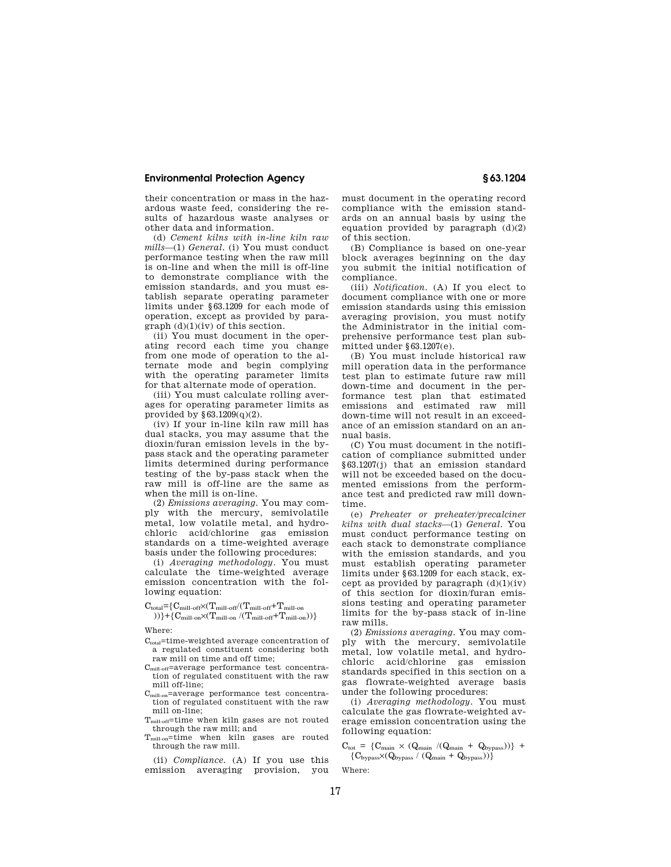## **Environmental Protection Agency § 63.1204**

their concentration or mass in the hazardous waste feed, considering the results of hazardous waste analyses or other data and information.

(d) *Cement kilns with in-line kiln raw mills*—(1) *General.* (i) You must conduct performance testing when the raw mill is on-line and when the mill is off-line to demonstrate compliance with the emission standards, and you must establish separate operating parameter limits under §63.1209 for each mode of operation, except as provided by paragraph (d)(1)(iv) of this section.

(ii) You must document in the operating record each time you change from one mode of operation to the alternate mode and begin complying with the operating parameter limits for that alternate mode of operation.

(iii) You must calculate rolling averages for operating parameter limits as provided by  $\S 63.1209(q)(2)$ .

(iv) If your in-line kiln raw mill has dual stacks, you may assume that the dioxin/furan emission levels in the bypass stack and the operating parameter limits determined during performance testing of the by-pass stack when the raw mill is off-line are the same as when the mill is on-line.

(2) *Emissions averaging.* You may comply with the mercury, semivolatile metal, low volatile metal, and hydrochloric acid/chlorine gas emission standards on a time-weighted average basis under the following procedures:

(i) *Averaging methodology.* You must calculate the time-weighted average emission concentration with the following equation:

 $C_{total} = \{C_{mill-off} \times (T_{mill-off}/(T_{mill-off}+T_{mill-on}$ 

))}+{ $C_{\text{mill-on}}\times(T_{\text{mill-on}}/(T_{\text{mill-off}}+T_{\text{mill-on}}))$ }

Where:

- C<sub>total</sub>=time-weighted average concentration of a regulated constituent considering both raw mill on time and off time;
- $C<sub>mill-off</sub>=average performance test concentra$ tion of regulated constituent with the raw mill off-line;
- Cmill-on=average performance test concentration of regulated constituent with the raw mill on-line;
- Tmill-off=time when kiln gases are not routed through the raw mill; and
- T<sub>mill-on</sub>=time when kiln gases are routed through the raw mill.

(ii) *Compliance.* (A) If you use this emission averaging provision, you must document in the operating record compliance with the emission standards on an annual basis by using the equation provided by paragraph  $(d)(2)$ of this section.

(B) Compliance is based on one-year block averages beginning on the day you submit the initial notification of compliance.

(iii) *Notification.* (A) If you elect to document compliance with one or more emission standards using this emission averaging provision, you must notify the Administrator in the initial comprehensive performance test plan submitted under §63.1207(e).

(B) You must include historical raw mill operation data in the performance test plan to estimate future raw mill down-time and document in the performance test plan that estimated emissions and estimated raw mill down-time will not result in an exceedance of an emission standard on an annual basis.

(C) You must document in the notification of compliance submitted under §63.1207(j) that an emission standard will not be exceeded based on the documented emissions from the performance test and predicted raw mill downtime.

(e) *Preheater or preheater/precalciner kilns with dual stacks*—(1) *General.* You must conduct performance testing on each stack to demonstrate compliance with the emission standards, and you must establish operating parameter limits under §63.1209 for each stack, except as provided by paragraph  $(d)(1)(iv)$ of this section for dioxin/furan emissions testing and operating parameter limits for the by-pass stack of in-line raw mills.

(2) *Emissions averaging.* You may comply with the mercury, semivolatile metal, low volatile metal, and hydrochloric acid/chlorine gas emission standards specified in this section on a gas flowrate-weighted average basis under the following procedures:

(i) *Averaging methodology.* You must calculate the gas flowrate-weighted average emission concentration using the following equation:

 $C_{\text{tot}} = \{ C_{\text{main}} \times (Q_{\text{main}} / (Q_{\text{main}} + Q_{\text{bypass}})) \}$  +  ${C_{\text{bypass}}}{\times}(Q_{\text{bypass}} / (Q_{\text{main}} + Q_{\text{bypass}}))$ 

Where: